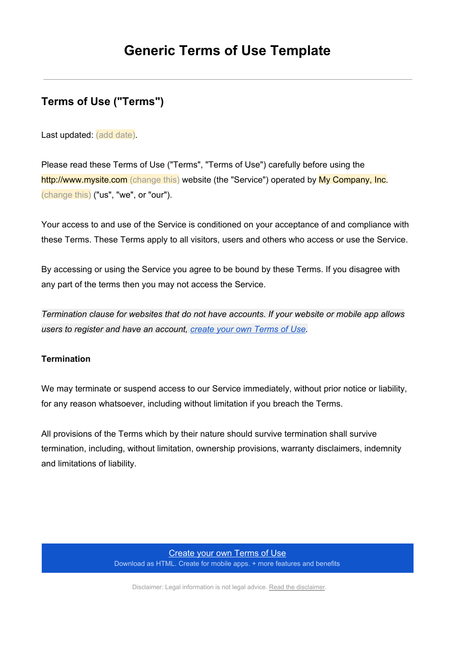# **Terms of Use ("Terms")**

Last updated: (add date).

Please read these Terms of Use ("Terms", "Terms of Use") carefully before using the http://www.mysite.com (change this) website (the "Service") operated by My Company, Inc. (change this) ("us", "we", or "our").

Your access to and use of the Service is conditioned on your acceptance of and compliance with these Terms. These Terms apply to all visitors, users and others who access or use the Service.

By accessing or using the Service you agree to be bound by these Terms. If you disagree with any part of the terms then you may not access the Service.

*Termination clause for websites that do not have accounts. If your website or mobile app allows users to register and have an account, create your own [Terms](https://www.google.com/url?q=https%3A%2F%2Ftermsfeed.com%2Fterms-use%2Fgenerator%2F%3Futm_source%3DGeneric%2BTemplate%26utm_medium%3DPDF%26utm_campaign%3DTU%2BTemplates%26utm_nooverride%3D1&sa=D&sntz=1&usg=AFQjCNHyD9X88z5q0OSyYU2jgvQP0A_lxg) of Use.*

### **Termination**

We may terminate or suspend access to our Service immediately, without prior notice or liability, for any reason whatsoever, including without limitation if you breach the Terms.

All provisions of the Terms which by their nature should survive termination shall survive termination, including, without limitation, ownership provisions, warranty disclaimers, indemnity and limitations of liability.

#### [Create](https://www.google.com/url?q=https%3A%2F%2Ftermsfeed.com%2Fterms-use%2Fgenerator%2F%3Futm_source%3DGeneric%2BTemplate%26utm_medium%3DPDF%26utm_campaign%3DTU%2BTemplates%26utm_nooverride%3D1&sa=D&sntz=1&usg=AFQjCNHyD9X88z5q0OSyYU2jgvQP0A_lxg) your own Terms of Use

Download as HTML. Create for mobile apps. + more features and benefits

Disclaimer: Legal information is not legal advice. Read the [disclaimer](http://www.google.com/url?q=http%3A%2F%2Ftermsfeed.com%2Flegal%2Fdisclaimer&sa=D&sntz=1&usg=AFQjCNFCctzLk3Lvtj0EQf0Dp6NwdKzu8A).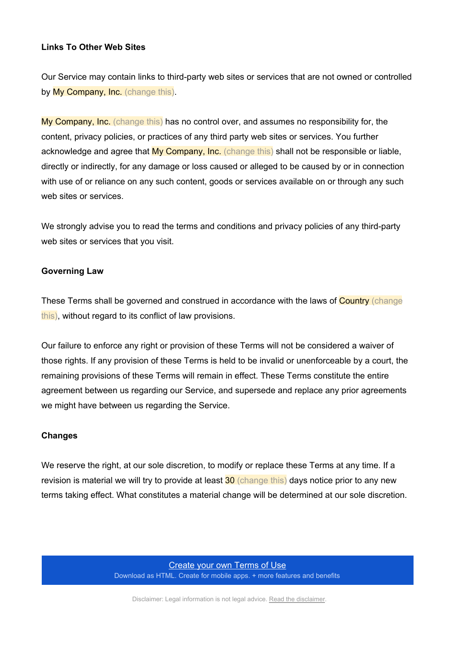#### **Links To Other Web Sites**

Our Service may contain links to third-party web sites or services that are not owned or controlled by My Company, Inc. (change this).

My Company, Inc. (change this) has no control over, and assumes no responsibility for, the content, privacy policies, or practices of any third party web sites or services. You further acknowledge and agree that My Company, Inc. (change this) shall not be responsible or liable, directly or indirectly, for any damage or loss caused or alleged to be caused by or in connection with use of or reliance on any such content, goods or services available on or through any such web sites or services.

We strongly advise you to read the terms and conditions and privacy policies of any third-party web sites or services that you visit.

#### **Governing Law**

These Terms shall be governed and construed in accordance with the laws of Country (change this), without regard to its conflict of law provisions.

Our failure to enforce any right or provision of these Terms will not be considered a waiver of those rights. If any provision of these Terms is held to be invalid or unenforceable by a court, the remaining provisions of these Terms will remain in effect. These Terms constitute the entire agreement between us regarding our Service, and supersede and replace any prior agreements we might have between us regarding the Service.

#### **Changes**

We reserve the right, at our sole discretion, to modify or replace these Terms at any time. If a revision is material we will try to provide at least 30 (change this) days notice prior to any new terms taking effect. What constitutes a material change will be determined at our sole discretion.